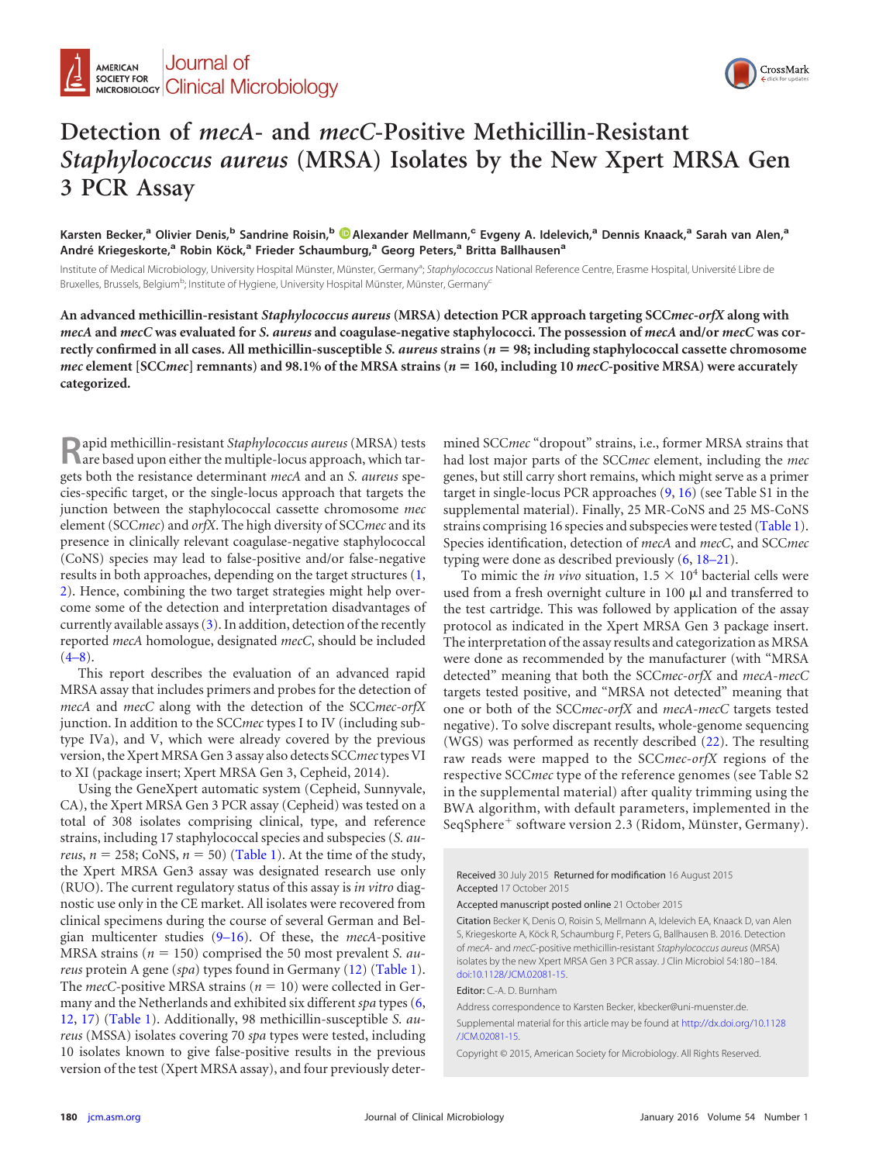

## **Detection of** *mecA***- and** *mecC***-Positive Methicillin-Resistant** *Staphylococcus aureus* **(MRSA) Isolates by the New Xpert MRSA Gen 3 PCR Assay**

**Karsten Becker,<sup>a</sup> Olivier Denis,<sup>b</sup> Sandrine Roisin,<sup>b</sup> [Alexander Mellmann,](http://orcid.org/0000-0002-0649-5185)<sup>c</sup> Evgeny A. Idelevich,<sup>a</sup> Dennis Knaack,<sup>a</sup> Sarah van Alen,<sup>a</sup> André Kriegeskorte,<sup>a</sup> Robin Köck,<sup>a</sup> Frieder Schaumburg,<sup>a</sup> Georg Peters,<sup>a</sup> Britta Ballhausen<sup>a</sup>**

Institute of Medical Microbiology, University Hospital Münster, Münster, Germany<sup>a</sup>; Staphylococcus National Reference Centre, Erasme Hospital, Université Libre de Bruxelles, Brussels, Belgium<sup>b</sup>; Institute of Hygiene, University Hospital Münster, Münster, Germany<sup>c</sup>

**An advanced methicillin-resistant** *Staphylococcus aureus* **(MRSA) detection PCR approach targeting SCC***mec-orfX* **along with** *mecA* **and** *mecC* **was evaluated for** *S. aureus* **and coagulase-negative staphylococci. The possession of** *mecA* **and/or** *mecC* **was correctly confirmed in all cases. All methicillin-susceptible** *S. aureus* **strains (***n* - **98; including staphylococcal cassette chromosome** *mec* **element [SCC***mec***] remnants) and 98.1% of the MRSA strains (***n* - **160, including 10** *mecC***-positive MRSA) were accurately categorized.**

**R**apid methicillin-resistant *Staphylococcus aureus* (MRSA) tests are based upon either the multiple-locus approach, which targets both the resistance determinant *mecA* and an *S. aureus* species-specific target, or the single-locus approach that targets the junction between the staphylococcal cassette chromosome *mec* element (SCC*mec*) and *orfX*. The high diversity of SCC*mec* and its presence in clinically relevant coagulase-negative staphylococcal (CoNS) species may lead to false-positive and/or false-negative results in both approaches, depending on the target structures [\(1,](#page-2-0) [2\)](#page-2-1). Hence, combining the two target strategies might help overcome some of the detection and interpretation disadvantages of currently available assays  $(3)$ . In addition, detection of the recently reported *mecA* homologue, designated *mecC*, should be included  $(4-8)$  $(4-8)$  $(4-8)$ .

This report describes the evaluation of an advanced rapid MRSA assay that includes primers and probes for the detection of *mecA* and *mecC* along with the detection of the SCC*mec-orfX* junction. In addition to the SCC*mec* types I to IV (including subtype IVa), and V, which were already covered by the previous version, the Xpert MRSA Gen 3 assay also detects SCC*mec*types VI to XI (package insert; Xpert MRSA Gen 3, Cepheid, 2014).

Using the GeneXpert automatic system (Cepheid, Sunnyvale, CA), the Xpert MRSA Gen 3 PCR assay (Cepheid) was tested on a total of 308 isolates comprising clinical, type, and reference strains, including 17 staphylococcal species and subspecies (*S. aureus*,  $n = 258$ ; CoNS,  $n = 50$ ) [\(Table 1\)](#page-1-0). At the time of the study, the Xpert MRSA Gen3 assay was designated research use only (RUO). The current regulatory status of this assay is *in vitro* diagnostic use only in the CE market. All isolates were recovered from clinical specimens during the course of several German and Belgian multicenter studies [\(9](#page-2-6)[–](#page-2-7)[16\)](#page-2-8). Of these, the *mecA*-positive MRSA strains ( $n = 150$ ) comprised the 50 most prevalent *S. aureus* protein A gene (*spa*) types found in Germany [\(12\)](#page-2-9) [\(Table 1\)](#page-1-0). The  $mecC$ -positive MRSA strains ( $n = 10$ ) were collected in Germany and the Netherlands and exhibited six different *spa* types [\(6,](#page-2-10) [12,](#page-2-9) [17\)](#page-2-11) [\(Table 1\)](#page-1-0). Additionally, 98 methicillin-susceptible *S. aureus* (MSSA) isolates covering 70 *spa* types were tested, including 10 isolates known to give false-positive results in the previous version of the test (Xpert MRSA assay), and four previously determined SCC*mec* "dropout" strains, i.e., former MRSA strains that had lost major parts of the SCC*mec* element, including the *mec* genes, but still carry short remains, which might serve as a primer target in single-locus PCR approaches [\(9,](#page-2-6) [16\)](#page-2-8) (see Table S1 in the supplemental material). Finally, 25 MR-CoNS and 25 MS-CoNS strains comprising 16 species and subspecies were tested [\(Table 1\)](#page-1-0). Species identification, detection of *mecA* and *mecC*, and SCC*mec* typing were done as described previously [\(6,](#page-2-10) [18](#page-2-12)[–](#page-3-0)[21\)](#page-3-1).

To mimic the *in vivo* situation,  $1.5 \times 10^4$  bacterial cells were used from a fresh overnight culture in  $100 \mu l$  and transferred to the test cartridge. This was followed by application of the assay protocol as indicated in the Xpert MRSA Gen 3 package insert. The interpretation of the assay results and categorization as MRSA were done as recommended by the manufacturer (with "MRSA detected" meaning that both the SCC*mec-orfX* and *mecA-mecC* targets tested positive, and "MRSA not detected" meaning that one or both of the SCC*mec-orfX* and *mecA-mecC* targets tested negative). To solve discrepant results, whole-genome sequencing (WGS) was performed as recently described [\(22\)](#page-3-2). The resulting raw reads were mapped to the SCC*mec-orfX* regions of the respective SCC*mec* type of the reference genomes (see Table S2 in the supplemental material) after quality trimming using the BWA algorithm, with default parameters, implemented in the SeqSphere<sup>+</sup> software version 2.3 (Ridom, Münster, Germany).

Received 30 July 2015 Returned for modification 16 August 2015 Accepted 17 October 2015

Accepted manuscript posted online 21 October 2015

Citation Becker K, Denis O, Roisin S, Mellmann A, Idelevich EA, Knaack D, van Alen S, Kriegeskorte A, Köck R, Schaumburg F, Peters G, Ballhausen B. 2016. Detection of *mecA*- and *mecC*-positive methicillin-resistant *Staphylococcus aureus* (MRSA) isolates by the new Xpert MRSA Gen 3 PCR assay. J Clin Microbiol 54:180 –184. [doi:10.1128/JCM.02081-15.](http://dx.doi.org/10.1128/JCM.02081-15)

Editor: C.-A. D. Burnham

Address correspondence to Karsten Becker, kbecker@uni-muenster.de.

Supplemental material for this article may be found at [http://dx.doi.org/10.1128](http://dx.doi.org/10.1128/JCM.02081-15) [/JCM.02081-15.](http://dx.doi.org/10.1128/JCM.02081-15)

Copyright © 2015, American Society for Microbiology. All Rights Reserved.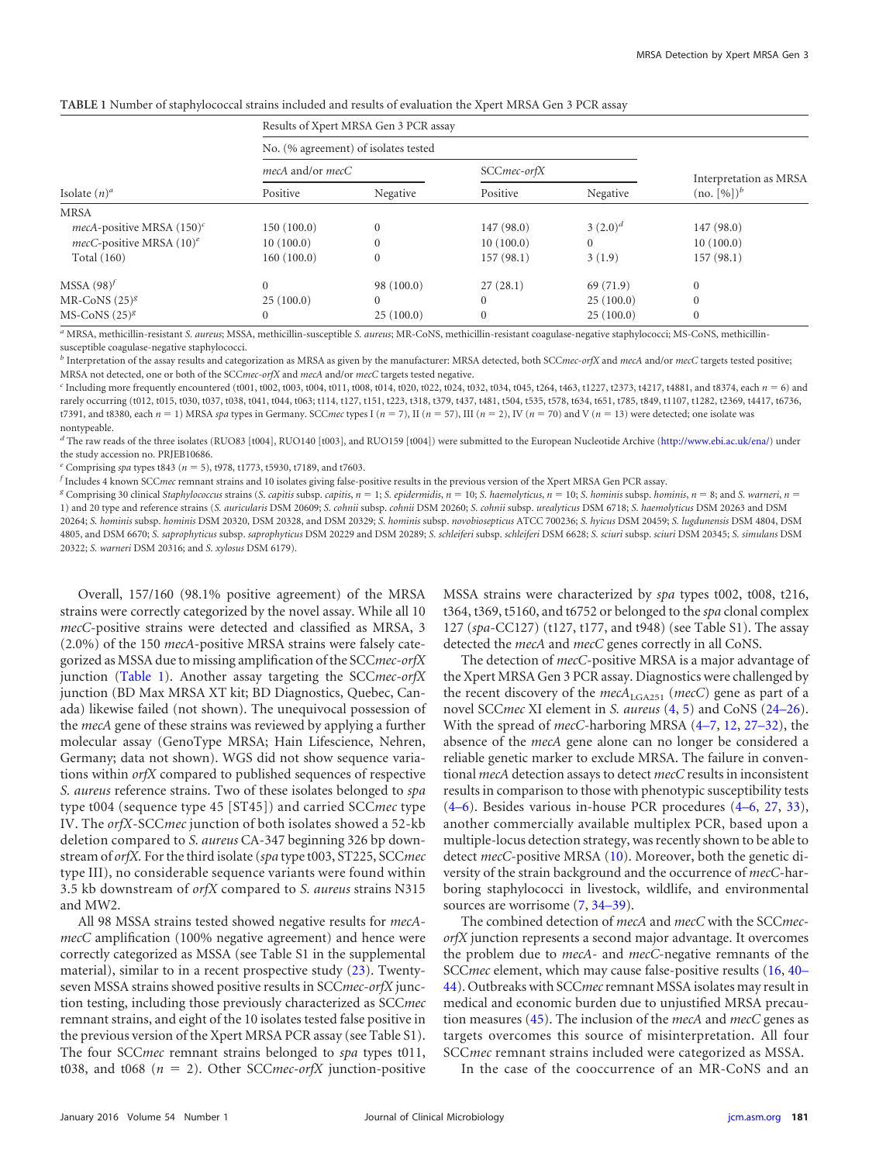<span id="page-1-0"></span>

| TABLE 1 Number of staphylococcal strains included and results of evaluation the Xpert MRSA Gen 3 PCR assay |  |  |
|------------------------------------------------------------------------------------------------------------|--|--|
|------------------------------------------------------------------------------------------------------------|--|--|

| Isolate $(n)^a$              | Results of Xpert MRSA Gen 3 PCR assay |              |              |           |                        |  |
|------------------------------|---------------------------------------|--------------|--------------|-----------|------------------------|--|
|                              | No. (% agreement) of isolates tested  |              |              |           |                        |  |
|                              | mecA and/or mecC                      |              | SCCmec-orfX  |           | Interpretation as MRSA |  |
|                              | Positive                              | Negative     | Positive     | Negative  | $(no. [%])^b$          |  |
| <b>MRSA</b>                  |                                       |              |              |           |                        |  |
| mecA-positive MRSA $(150)^c$ | 150(100.0)                            | $\Omega$     | 147(98.0)    | $(2.0)^d$ | 147(98.0)              |  |
| mecC-positive MRSA $(10)^e$  | 10(100.0)                             | $\Omega$     | 10(100.0)    |           | 10(100.0)              |  |
| Total (160)                  | 160(100.0)                            | $\mathbf{0}$ | 157(98.1)    | 3(1.9)    | 157(98.1)              |  |
| $MSSA (98)^f$                | $\mathbf{0}$                          | 98 (100.0)   | 27(28.1)     | 69 (71.9) | $\mathbf{0}$           |  |
| MR-CoNS $(25)^{g}$           | 25(100.0)                             | $\Omega$     | $\mathbf{0}$ | 25(100.0) | $\Omega$               |  |
| MS-CoNS $(25)^g$             | $\mathbf{0}$                          | 25(100.0)    | $\mathbf{0}$ | 25(100.0) | $\mathbf{0}$           |  |
|                              |                                       |              |              |           |                        |  |

*<sup>a</sup>* MRSA, methicillin-resistant *S. aureus*; MSSA, methicillin-susceptible *S. aureus*; MR-CoNS, methicillin-resistant coagulase-negative staphylococci; MS-CoNS, methicillinsusceptible coagulase-negative staphylococci.

*<sup>b</sup>* Interpretation of the assay results and categorization as MRSA as given by the manufacturer: MRSA detected, both SCC*mec-orfX* and *mecA* and/or *mecC* targets tested positive; MRSA not detected, one or both of the SCC*mec-orfX* and *mecA* and/or *mecC* targets tested negative.

*<sup>c</sup>* Including more frequently encountered (t001, t002, t003, t004, t011, t008, t014, t020, t022, t024, t032, t034, t045, t264, t463, t1227, t2373, t4217, t4881, and t8374, each *n* - 6) and rarely occurring (t012, t015, t030, t037, t038, t041, t044, t063; t114, t127, t151, t223, t318, t379, t437, t481, t504, t535, t578, t634, t651, t785, t849, t1107, t1282, t2369, t4417, t6736, t7391, and t8380, each  $n = 1$ ) MRSA spa types in Germany. SCCmec types I ( $n = 7$ ), II ( $n = 57$ ), III ( $n = 2$ ), IV ( $n = 70$ ) and V ( $n = 13$ ) were detected; one isolate was nontypeable.

*<sup>d</sup>* The raw reads of the three isolates (RUO83 [t004], RUO140 [t003], and RUO159 [t004]) were submitted to the European Nucleotide Archive [\(http://www.ebi.ac.uk/ena/\)](http://www.ebi.ac.uk/ena/) under the study accession no. PRJEB10686.

*<sup>e</sup>* Comprising *spa* types t843 (*n* - 5), t978, t1773, t5930, t7189, and t7603.

*f* Includes 4 known SCC*mec* remnant strains and 10 isolates giving false-positive results in the previous version of the Xpert MRSA Gen PCR assay.

g Comprising 30 clinical Staphylococcus strains (S. capitis subsp. capitis, n = 1; S. epidermidis, n = 10; S. haemolyticus, n = 10; S. hominis subsp. hominis, n = 8; and S. warneri, n = 1) and 20 type and reference strains (*S. auricularis* DSM 20609; *S. cohnii* subsp. *cohnii* DSM 20260; *S. cohnii* subsp. *urealyticus* DSM 6718; *S. haemolyticus* DSM 20263 and DSM 20264; *S. hominis* subsp. *hominis* DSM 20320, DSM 20328, and DSM 20329; *S. hominis* subsp. *novobiosepticus* ATCC 700236; *S. hyicus* DSM 20459; *S. lugdunensis* DSM 4804, DSM 4805, and DSM 6670; *S. saprophyticus* subsp. *saprophyticus* DSM 20229 and DSM 20289; *S. schleiferi* subsp. *schleiferi* DSM 6628; *S. sciuri* subsp. *sciuri* DSM 20345; *S. simulans* DSM 20322; *S. warneri* DSM 20316; and *S. xylosus* DSM 6179).

Overall, 157/160 (98.1% positive agreement) of the MRSA strains were correctly categorized by the novel assay. While all 10 *mecC*-positive strains were detected and classified as MRSA, 3 (2.0%) of the 150 *mecA*-positive MRSA strains were falsely categorized as MSSA due to missing amplification of the SCC*mec-orfX* junction [\(Table 1\)](#page-1-0). Another assay targeting the SCC*mec-orfX* junction (BD Max MRSA XT kit; BD Diagnostics, Quebec, Canada) likewise failed (not shown). The unequivocal possession of the *mecA* gene of these strains was reviewed by applying a further molecular assay (GenoType MRSA; Hain Lifescience, Nehren, Germany; data not shown). WGS did not show sequence variations within *orfX* compared to published sequences of respective *S. aureus* reference strains. Two of these isolates belonged to *spa* type t004 (sequence type 45 [ST45]) and carried SCC*mec* type IV. The *orfX*-SCC*mec* junction of both isolates showed a 52-kb deletion compared to *S. aureus* CA-347 beginning 326 bp downstream of *orfX.* For the third isolate (*spa* type t003, ST225, SCC*mec* type III), no considerable sequence variants were found within 3.5 kb downstream of *orfX* compared to *S. aureus* strains N315 and MW2.

All 98 MSSA strains tested showed negative results for *mecAmecC* amplification (100% negative agreement) and hence were correctly categorized as MSSA (see Table S1 in the supplemental material), similar to in a recent prospective study [\(23\)](#page-3-3). Twentyseven MSSA strains showed positive results in SCC*mec-orfX* junction testing, including those previously characterized as SCC*mec* remnant strains, and eight of the 10 isolates tested false positive in the previous version of the Xpert MRSA PCR assay (see Table S1). The four SCC*mec* remnant strains belonged to *spa* types t011, t038, and t068 ( $n = 2$ ). Other SCC*mec-orfX* junction-positive

MSSA strains were characterized by *spa* types t002, t008, t216, t364, t369, t5160, and t6752 or belonged to the *spa* clonal complex 127 (*spa*-CC127) (t127, t177, and t948) (see Table S1). The assay detected the *mecA* and *mecC* genes correctly in all CoNS.

The detection of *mecC*-positive MRSA is a major advantage of the Xpert MRSA Gen 3 PCR assay. Diagnostics were challenged by the recent discovery of the  $mech_{LGAZ51}$  (mecC) gene as part of a novel SCC*mec* XI element in *S. aureus* [\(4,](#page-2-3) [5\)](#page-2-13) and CoNS [\(24](#page-3-4)[–](#page-3-5)[26\)](#page-3-6). With the spread of *mecC*-harboring MRSA [\(4](#page-2-3)[–](#page-2-10)[7,](#page-2-4) [12,](#page-2-9) [27](#page-3-7)[–](#page-3-8)[32\)](#page-3-9), the absence of the *mecA* gene alone can no longer be considered a reliable genetic marker to exclude MRSA. The failure in conventional *mecA* detection assays to detect *mecC* results in inconsistent results in comparison to those with phenotypic susceptibility tests [\(4](#page-2-3)[–](#page-2-13)[6\)](#page-2-10). Besides various in-house PCR procedures [\(4](#page-2-3)[–](#page-2-13)[6,](#page-2-10) [27,](#page-3-7) [33\)](#page-3-10), another commercially available multiplex PCR, based upon a multiple-locus detection strategy, was recently shown to be able to detect *mecC*-positive MRSA [\(10\)](#page-2-14). Moreover, both the genetic diversity of the strain background and the occurrence of *mecC*-harboring staphylococci in livestock, wildlife, and environmental sources are worrisome  $(7, 34-39)$  $(7, 34-39)$  $(7, 34-39)$  $(7, 34-39)$  $(7, 34-39)$ .

The combined detection of *mecA* and *mecC* with the SCC*mecorfX* junction represents a second major advantage. It overcomes the problem due to *mecA*- and *mecC*-negative remnants of the SCC*mec* element, which may cause false-positive results [\(16,](#page-2-8) [40](#page-3-14)[–](#page-3-15) [44\)](#page-3-16). Outbreaks with SCC*mec*remnant MSSA isolates may result in medical and economic burden due to unjustified MRSA precaution measures [\(45\)](#page-3-17). The inclusion of the *mecA* and *mecC* genes as targets overcomes this source of misinterpretation. All four SCC*mec* remnant strains included were categorized as MSSA.

In the case of the cooccurrence of an MR-CoNS and an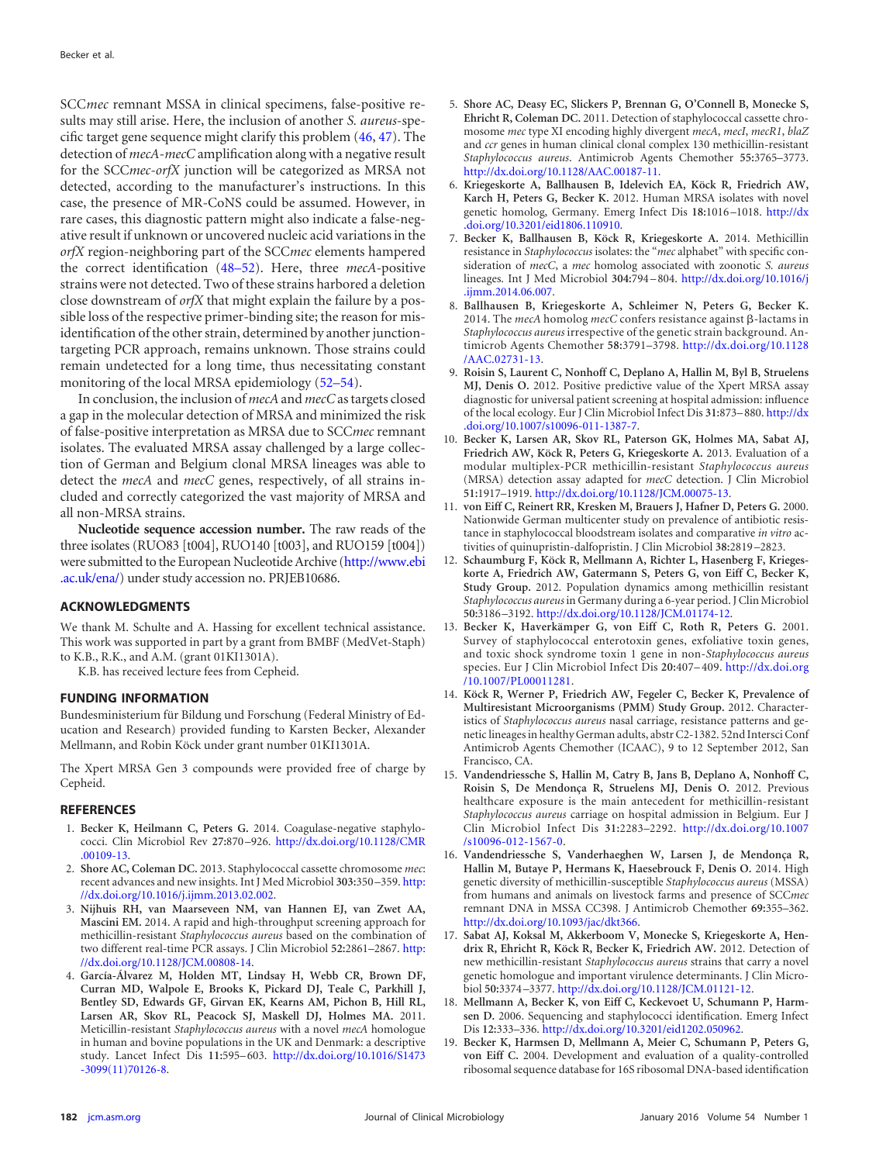SCC*mec* remnant MSSA in clinical specimens, false-positive results may still arise. Here, the inclusion of another *S. aureus*-specific target gene sequence might clarify this problem [\(46,](#page-3-18) [47\)](#page-3-19). The detection of *mecA-mecC* amplification along with a negative result for the SCC*mec-orfX* junction will be categorized as MRSA not detected, according to the manufacturer's instructions. In this case, the presence of MR-CoNS could be assumed. However, in rare cases, this diagnostic pattern might also indicate a false-negative result if unknown or uncovered nucleic acid variations in the *orfX* region-neighboring part of the SCC*mec* elements hampered the correct identification [\(48](#page-3-20)[–](#page-4-0)[52\)](#page-4-1). Here, three *mecA*-positive strains were not detected. Two of these strains harbored a deletion close downstream of *orfX* that might explain the failure by a possible loss of the respective primer-binding site; the reason for misidentification of the other strain, determined by another junctiontargeting PCR approach, remains unknown. Those strains could remain undetected for a long time, thus necessitating constant monitoring of the local MRSA epidemiology [\(52](#page-4-1)[–](#page-4-2)[54\)](#page-4-3).

In conclusion, the inclusion of *mecA* and *mecC*as targets closed a gap in the molecular detection of MRSA and minimized the risk of false-positive interpretation as MRSA due to SCC*mec* remnant isolates. The evaluated MRSA assay challenged by a large collection of German and Belgium clonal MRSA lineages was able to detect the *mecA* and *mecC* genes, respectively, of all strains included and correctly categorized the vast majority of MRSA and all non-MRSA strains.

**Nucleotide sequence accession number.** The raw reads of the three isolates (RUO83 [t004], RUO140 [t003], and RUO159 [t004]) were submitted to the European Nucleotide Archive [\(http://www.ebi](http://www.ebi.ac.uk/ena/) [.ac.uk/ena/\)](http://www.ebi.ac.uk/ena/) under study accession no. PRJEB10686.

## **ACKNOWLEDGMENTS**

We thank M. Schulte and A. Hassing for excellent technical assistance. This work was supported in part by a grant from BMBF (MedVet-Staph) to K.B., R.K., and A.M. (grant 01KI1301A).

K.B. has received lecture fees from Cepheid.

## **FUNDING INFORMATION**

Bundesministerium für Bildung und Forschung (Federal Ministry of Education and Research) provided funding to Karsten Becker, Alexander Mellmann, and Robin Köck under grant number 01KI1301A.

The Xpert MRSA Gen 3 compounds were provided free of charge by Cepheid.

## <span id="page-2-0"></span>**REFERENCES**

- <span id="page-2-1"></span>1. **Becker K, Heilmann C, Peters G.** 2014. Coagulase-negative staphylococci. Clin Microbiol Rev **27:**870 –926. [http://dx.doi.org/10.1128/CMR](http://dx.doi.org/10.1128/CMR.00109-13) [.00109-13.](http://dx.doi.org/10.1128/CMR.00109-13)
- <span id="page-2-2"></span>2. **Shore AC, Coleman DC.** 2013. Staphylococcal cassette chromosome *mec*: recent advances and new insights. Int J Med Microbiol **303:**350 –359. [http:](http://dx.doi.org/10.1016/j.ijmm.2013.02.002) [//dx.doi.org/10.1016/j.ijmm.2013.02.002.](http://dx.doi.org/10.1016/j.ijmm.2013.02.002)
- 3. **Nijhuis RH, van Maarseveen NM, van Hannen EJ, van Zwet AA, Mascini EM.** 2014. A rapid and high-throughput screening approach for methicillin-resistant *Staphylococcus aureus* based on the combination of two different real-time PCR assays. J Clin Microbiol **52:**2861–2867. [http:](http://dx.doi.org/10.1128/JCM.00808-14) [//dx.doi.org/10.1128/JCM.00808-14.](http://dx.doi.org/10.1128/JCM.00808-14)
- <span id="page-2-3"></span>4. **García-Álvarez M, Holden MT, Lindsay H, Webb CR, Brown DF, Curran MD, Walpole E, Brooks K, Pickard DJ, Teale C, Parkhill J, Bentley SD, Edwards GF, Girvan EK, Kearns AM, Pichon B, Hill RL, Larsen AR, Skov RL, Peacock SJ, Maskell DJ, Holmes MA.** 2011. Meticillin-resistant *Staphylococcus aureus* with a novel *mecA* homologue in human and bovine populations in the UK and Denmark: a descriptive study. Lancet Infect Dis **11:**595–603. [http://dx.doi.org/10.1016/S1473](http://dx.doi.org/10.1016/S1473-3099(11)70126-8) [-3099\(11\)70126-8.](http://dx.doi.org/10.1016/S1473-3099(11)70126-8)
- <span id="page-2-13"></span>5. **Shore AC, Deasy EC, Slickers P, Brennan G, O'Connell B, Monecke S, Ehricht R, Coleman DC.** 2011. Detection of staphylococcal cassette chromosome *mec* type XI encoding highly divergent *mecA*, *mecI*, *mecR1*, *blaZ* and *ccr* genes in human clinical clonal complex 130 methicillin-resistant *Staphylococcus aureus*. Antimicrob Agents Chemother **55:**3765–3773. [http://dx.doi.org/10.1128/AAC.00187-11.](http://dx.doi.org/10.1128/AAC.00187-11)
- <span id="page-2-10"></span>6. **Kriegeskorte A, Ballhausen B, Idelevich EA, Köck R, Friedrich AW, Karch H, Peters G, Becker K.** 2012. Human MRSA isolates with novel genetic homolog, Germany. Emerg Infect Dis **18:**1016 –1018. [http://dx](http://dx.doi.org/10.3201/eid1806.110910) [.doi.org/10.3201/eid1806.110910.](http://dx.doi.org/10.3201/eid1806.110910)
- <span id="page-2-4"></span>7. **Becker K, Ballhausen B, Köck R, Kriegeskorte A.** 2014. Methicillin resistance in *Staphylococcus* isolates: the "*mec* alphabet" with specific consideration of *mecC*, a *mec* homolog associated with zoonotic *S. aureus* lineages. Int J Med Microbiol **304:**794 –804. [http://dx.doi.org/10.1016/j](http://dx.doi.org/10.1016/j.ijmm.2014.06.007) [.ijmm.2014.06.007.](http://dx.doi.org/10.1016/j.ijmm.2014.06.007)
- <span id="page-2-5"></span>8. **Ballhausen B, Kriegeskorte A, Schleimer N, Peters G, Becker K.** 2014. The  $mecA$  homolog  $mecC$  confers resistance against  $\beta$ -lactams in *Staphylococcus aureus* irrespective of the genetic strain background. Antimicrob Agents Chemother **58:**3791–3798. [http://dx.doi.org/10.1128](http://dx.doi.org/10.1128/AAC.02731-13) [/AAC.02731-13.](http://dx.doi.org/10.1128/AAC.02731-13)
- <span id="page-2-6"></span>9. **Roisin S, Laurent C, Nonhoff C, Deplano A, Hallin M, Byl B, Struelens MJ, Denis O.** 2012. Positive predictive value of the Xpert MRSA assay diagnostic for universal patient screening at hospital admission: influence of the local ecology. Eur J Clin Microbiol Infect Dis **31:**873–880. [http://dx](http://dx.doi.org/10.1007/s10096-011-1387-7) [.doi.org/10.1007/s10096-011-1387-7.](http://dx.doi.org/10.1007/s10096-011-1387-7)
- <span id="page-2-14"></span>10. **Becker K, Larsen AR, Skov RL, Paterson GK, Holmes MA, Sabat AJ, Friedrich AW, Köck R, Peters G, Kriegeskorte A.** 2013. Evaluation of a modular multiplex-PCR methicillin-resistant *Staphylococcus aureus* (MRSA) detection assay adapted for *mecC* detection. J Clin Microbiol **51:**1917–1919. [http://dx.doi.org/10.1128/JCM.00075-13.](http://dx.doi.org/10.1128/JCM.00075-13)
- 11. **von Eiff C, Reinert RR, Kresken M, Brauers J, Hafner D, Peters G.** 2000. Nationwide German multicenter study on prevalence of antibiotic resistance in staphylococcal bloodstream isolates and comparative *in vitro* activities of quinupristin-dalfopristin. J Clin Microbiol **38:**2819 –2823.
- <span id="page-2-9"></span>12. **Schaumburg F, Köck R, Mellmann A, Richter L, Hasenberg F, Kriegeskorte A, Friedrich AW, Gatermann S, Peters G, von Eiff C, Becker K, Study Group.** 2012. Population dynamics among methicillin resistant *Staphylococcus aureus*in Germany during a 6-year period. J Clin Microbiol **50:**3186 –3192. [http://dx.doi.org/10.1128/JCM.01174-12.](http://dx.doi.org/10.1128/JCM.01174-12)
- 13. **Becker K, Haverkämper G, von Eiff C, Roth R, Peters G.** 2001. Survey of staphylococcal enterotoxin genes, exfoliative toxin genes, and toxic shock syndrome toxin 1 gene in non-*Staphylococcus aureus* species. Eur J Clin Microbiol Infect Dis **20:**407–409. [http://dx.doi.org](http://dx.doi.org/10.1007/PL00011281) [/10.1007/PL00011281.](http://dx.doi.org/10.1007/PL00011281)
- 14. **Köck R, Werner P, Friedrich AW, Fegeler C, Becker K, Prevalence of Multiresistant Microorganisms (PMM) Study Group.** 2012. Characteristics of *Staphylococcus aureus* nasal carriage, resistance patterns and genetic lineages in healthy German adults, abstr C2-1382. 52nd Intersci Conf Antimicrob Agents Chemother (ICAAC), 9 to 12 September 2012, San Francisco, CA.
- <span id="page-2-7"></span>15. **Vandendriessche S, Hallin M, Catry B, Jans B, Deplano A, Nonhoff C, Roisin S, De Mendonça R, Struelens MJ, Denis O.** 2012. Previous healthcare exposure is the main antecedent for methicillin-resistant *Staphylococcus aureus* carriage on hospital admission in Belgium. Eur J Clin Microbiol Infect Dis **31:**2283–2292. [http://dx.doi.org/10.1007](http://dx.doi.org/10.1007/s10096-012-1567-0) [/s10096-012-1567-0.](http://dx.doi.org/10.1007/s10096-012-1567-0)
- <span id="page-2-8"></span>16. **Vandendriessche S, Vanderhaeghen W, Larsen J, de Mendonça R, Hallin M, Butaye P, Hermans K, Haesebrouck F, Denis O.** 2014. High genetic diversity of methicillin-susceptible *Staphylococcus aureus* (MSSA) from humans and animals on livestock farms and presence of SCC*mec* remnant DNA in MSSA CC398. J Antimicrob Chemother **69:**355–362. [http://dx.doi.org/10.1093/jac/dkt366.](http://dx.doi.org/10.1093/jac/dkt366)
- <span id="page-2-11"></span>17. **Sabat AJ, Koksal M, Akkerboom V, Monecke S, Kriegeskorte A, Hendrix R, Ehricht R, Köck R, Becker K, Friedrich AW.** 2012. Detection of new methicillin-resistant *Staphylococcus aureus* strains that carry a novel genetic homologue and important virulence determinants. J Clin Microbiol **50:**3374 –3377. [http://dx.doi.org/10.1128/JCM.01121-12.](http://dx.doi.org/10.1128/JCM.01121-12)
- <span id="page-2-12"></span>18. **Mellmann A, Becker K, von Eiff C, Keckevoet U, Schumann P, Harmsen D.** 2006. Sequencing and staphylococci identification. Emerg Infect Dis **12:**333–336. [http://dx.doi.org/10.3201/eid1202.050962.](http://dx.doi.org/10.3201/eid1202.050962)
- 19. **Becker K, Harmsen D, Mellmann A, Meier C, Schumann P, Peters G, von Eiff C.** 2004. Development and evaluation of a quality-controlled ribosomal sequence database for 16S ribosomal DNA-based identification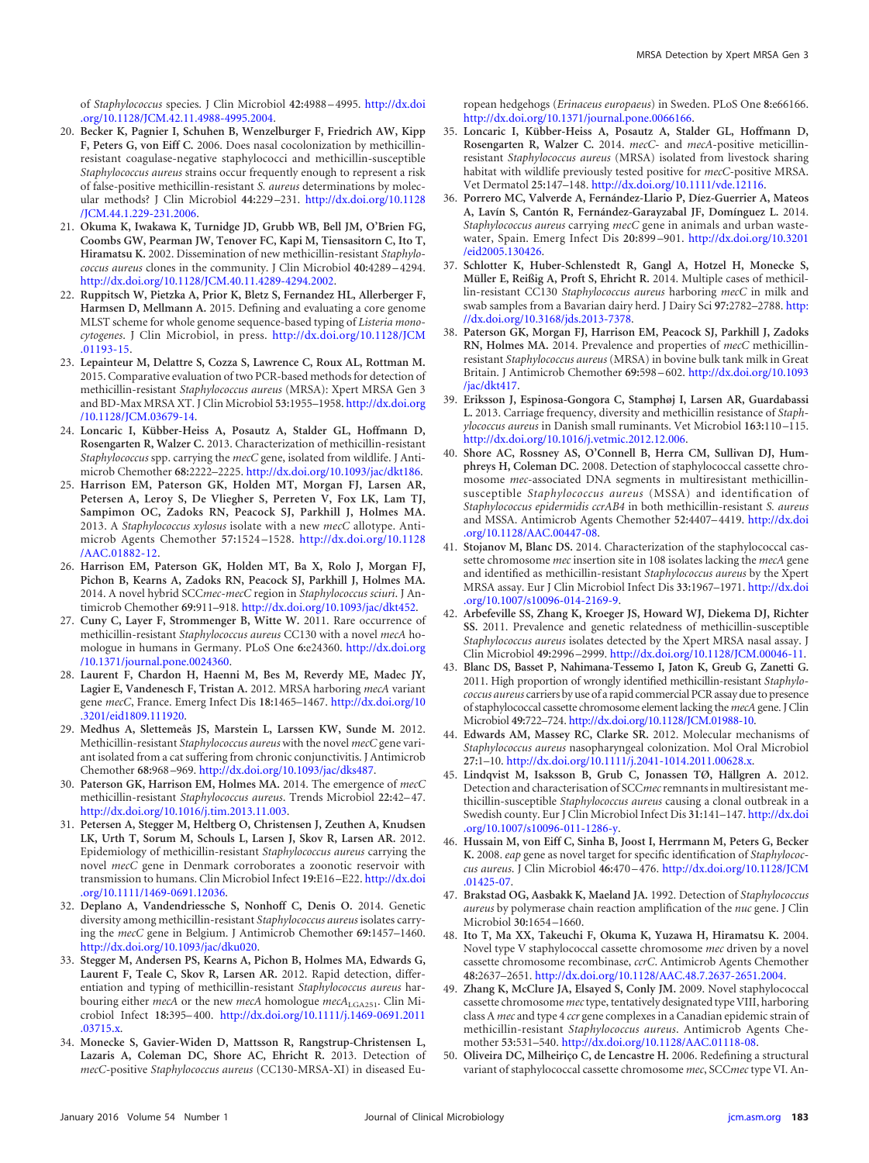of *Staphylococcus* species. J Clin Microbiol **42:**4988 –4995. [http://dx.doi](http://dx.doi.org/10.1128/JCM.42.11.4988-4995.2004) [.org/10.1128/JCM.42.11.4988-4995.2004.](http://dx.doi.org/10.1128/JCM.42.11.4988-4995.2004)

- <span id="page-3-0"></span>20. **Becker K, Pagnier I, Schuhen B, Wenzelburger F, Friedrich AW, Kipp F, Peters G, von Eiff C.** 2006. Does nasal cocolonization by methicillinresistant coagulase-negative staphylococci and methicillin-susceptible *Staphylococcus aureus* strains occur frequently enough to represent a risk of false-positive methicillin-resistant *S. aureus* determinations by molecular methods? J Clin Microbiol **44:**229 –231. [http://dx.doi.org/10.1128](http://dx.doi.org/10.1128/JCM.44.1.229-231.2006) [/JCM.44.1.229-231.2006.](http://dx.doi.org/10.1128/JCM.44.1.229-231.2006)
- <span id="page-3-1"></span>21. **Okuma K, Iwakawa K, Turnidge JD, Grubb WB, Bell JM, O'Brien FG, Coombs GW, Pearman JW, Tenover FC, Kapi M, Tiensasitorn C, Ito T, Hiramatsu K.** 2002. Dissemination of new methicillin-resistant *Staphylococcus aureus* clones in the community. J Clin Microbiol **40:**4289 –4294. [http://dx.doi.org/10.1128/JCM.40.11.4289-4294.2002.](http://dx.doi.org/10.1128/JCM.40.11.4289-4294.2002)
- <span id="page-3-2"></span>22. **Ruppitsch W, Pietzka A, Prior K, Bletz S, Fernandez HL, Allerberger F, Harmsen D, Mellmann A.** 2015. Defining and evaluating a core genome MLST scheme for whole genome sequence-based typing of *Listeria monocytogenes*. J Clin Microbiol, in press. [http://dx.doi.org/10.1128/JCM](http://dx.doi.org/10.1128/JCM.01193-15) [.01193-15.](http://dx.doi.org/10.1128/JCM.01193-15)
- <span id="page-3-3"></span>23. **Lepainteur M, Delattre S, Cozza S, Lawrence C, Roux AL, Rottman M.** 2015. Comparative evaluation of two PCR-based methods for detection of methicillin-resistant *Staphylococcus aureus* (MRSA): Xpert MRSA Gen 3 and BD-Max MRSA XT. J Clin Microbiol **53:**1955–1958. [http://dx.doi.org](http://dx.doi.org/10.1128/JCM.03679-14) [/10.1128/JCM.03679-14.](http://dx.doi.org/10.1128/JCM.03679-14)
- <span id="page-3-4"></span>24. **Loncaric I, Kübber-Heiss A, Posautz A, Stalder GL, Hoffmann D, Rosengarten R, Walzer C.** 2013. Characterization of methicillin-resistant *Staphylococcus* spp. carrying the *mecC* gene, isolated from wildlife. J Antimicrob Chemother **68:**2222–2225. [http://dx.doi.org/10.1093/jac/dkt186.](http://dx.doi.org/10.1093/jac/dkt186)
- <span id="page-3-5"></span>25. **Harrison EM, Paterson GK, Holden MT, Morgan FJ, Larsen AR, Petersen A, Leroy S, De Vliegher S, Perreten V, Fox LK, Lam TJ, Sampimon OC, Zadoks RN, Peacock SJ, Parkhill J, Holmes MA.** 2013. A *Staphylococcus xylosus* isolate with a new *mecC* allotype. Antimicrob Agents Chemother **57:**1524 –1528. [http://dx.doi.org/10.1128](http://dx.doi.org/10.1128/AAC.01882-12) [/AAC.01882-12.](http://dx.doi.org/10.1128/AAC.01882-12)
- <span id="page-3-6"></span>26. **Harrison EM, Paterson GK, Holden MT, Ba X, Rolo J, Morgan FJ, Pichon B, Kearns A, Zadoks RN, Peacock SJ, Parkhill J, Holmes MA.** 2014. A novel hybrid SCC*mec-mecC* region in *Staphylococcus sciuri*. J Antimicrob Chemother **69:**911–918. [http://dx.doi.org/10.1093/jac/dkt452.](http://dx.doi.org/10.1093/jac/dkt452)
- <span id="page-3-7"></span>27. **Cuny C, Layer F, Strommenger B, Witte W.** 2011. Rare occurrence of methicillin-resistant *Staphylococcus aureus* CC130 with a novel *mecA* homologue in humans in Germany. PLoS One **6:**e24360. [http://dx.doi.org](http://dx.doi.org/10.1371/journal.pone.0024360) [/10.1371/journal.pone.0024360.](http://dx.doi.org/10.1371/journal.pone.0024360)
- 28. **Laurent F, Chardon H, Haenni M, Bes M, Reverdy ME, Madec JY, Lagier E, Vandenesch F, Tristan A.** 2012. MRSA harboring *mecA* variant gene *mecC*, France. Emerg Infect Dis **18:**1465–1467. [http://dx.doi.org/10](http://dx.doi.org/10.3201/eid1809.111920) [.3201/eid1809.111920.](http://dx.doi.org/10.3201/eid1809.111920)
- 29. **Medhus A, Slettemeås JS, Marstein L, Larssen KW, Sunde M.** 2012. Methicillin-resistant *Staphylococcus aureus* with the novel *mecC* gene variant isolated from a cat suffering from chronic conjunctivitis. J Antimicrob Chemother **68:**968 –969. [http://dx.doi.org/10.1093/jac/dks487.](http://dx.doi.org/10.1093/jac/dks487)
- <span id="page-3-8"></span>30. **Paterson GK, Harrison EM, Holmes MA.** 2014. The emergence of *mecC* methicillin-resistant *Staphylococcus aureus*. Trends Microbiol **22:**42–47. [http://dx.doi.org/10.1016/j.tim.2013.11.003.](http://dx.doi.org/10.1016/j.tim.2013.11.003)
- 31. **Petersen A, Stegger M, Heltberg O, Christensen J, Zeuthen A, Knudsen LK, Urth T, Sorum M, Schouls L, Larsen J, Skov R, Larsen AR.** 2012. Epidemiology of methicillin-resistant *Staphylococcus aureus* carrying the novel *mecC* gene in Denmark corroborates a zoonotic reservoir with transmission to humans. Clin Microbiol Infect **19:**E16 –E22. [http://dx.doi](http://dx.doi.org/10.1111/1469-0691.12036) [.org/10.1111/1469-0691.12036.](http://dx.doi.org/10.1111/1469-0691.12036)
- <span id="page-3-9"></span>32. **Deplano A, Vandendriessche S, Nonhoff C, Denis O.** 2014. Genetic diversity among methicillin-resistant *Staphylococcus aureus* isolates carrying the *mecC* gene in Belgium. J Antimicrob Chemother **69:**1457–1460. [http://dx.doi.org/10.1093/jac/dku020.](http://dx.doi.org/10.1093/jac/dku020)
- <span id="page-3-10"></span>33. **Stegger M, Andersen PS, Kearns A, Pichon B, Holmes MA, Edwards G, Laurent F, Teale C, Skov R, Larsen AR.** 2012. Rapid detection, differentiation and typing of methicillin-resistant *Staphylococcus aureus* harbouring either *mecA* or the new *mecA* homologue  $mecA$ <sub>LGA251</sub>. Clin Microbiol Infect **18:**395–400. [http://dx.doi.org/10.1111/j.1469-0691.2011](http://dx.doi.org/10.1111/j.1469-0691.2011.03715.x) [.03715.x.](http://dx.doi.org/10.1111/j.1469-0691.2011.03715.x)
- <span id="page-3-11"></span>34. **Monecke S, Gavier-Widen D, Mattsson R, Rangstrup-Christensen L, Lazaris A, Coleman DC, Shore AC, Ehricht R.** 2013. Detection of *mecC*-positive *Staphylococcus aureus* (CC130-MRSA-XI) in diseased Eu-

ropean hedgehogs (*Erinaceus europaeus*) in Sweden. PLoS One **8:**e66166. [http://dx.doi.org/10.1371/journal.pone.0066166.](http://dx.doi.org/10.1371/journal.pone.0066166)

- 35. **Loncaric I, Kübber-Heiss A, Posautz A, Stalder GL, Hoffmann D, Rosengarten R, Walzer C.** 2014. *mecC*- and *mecA*-positive meticillinresistant *Staphylococcus aureus* (MRSA) isolated from livestock sharing habitat with wildlife previously tested positive for *mecC*-positive MRSA. Vet Dermatol **25:**147–148. [http://dx.doi.org/10.1111/vde.12116.](http://dx.doi.org/10.1111/vde.12116)
- 36. **Porrero MC, Valverde A, Fernández-Llario P, Díez-Guerrier A, Mateos A, Lavín S, Cantón R, Fernández-Garayzabal JF, Domínguez L.** 2014. *Staphylococcus aureus* carrying *mecC* gene in animals and urban wastewater, Spain. Emerg Infect Dis **20:**899 –901. [http://dx.doi.org/10.3201](http://dx.doi.org/10.3201/eid2005.130426) [/eid2005.130426.](http://dx.doi.org/10.3201/eid2005.130426)
- 37. **Schlotter K, Huber-Schlenstedt R, Gangl A, Hotzel H, Monecke S, Müller E, Reißig A, Proft S, Ehricht R.** 2014. Multiple cases of methicillin-resistant CC130 *Staphylococcus aureus* harboring *mecC* in milk and swab samples from a Bavarian dairy herd. J Dairy Sci **97:**2782–2788. [http:](http://dx.doi.org/10.3168/jds.2013-7378) [//dx.doi.org/10.3168/jds.2013-7378.](http://dx.doi.org/10.3168/jds.2013-7378)
- <span id="page-3-12"></span>38. **Paterson GK, Morgan FJ, Harrison EM, Peacock SJ, Parkhill J, Zadoks RN, Holmes MA.** 2014. Prevalence and properties of *mecC* methicillinresistant *Staphylococcus aureus* (MRSA) in bovine bulk tank milk in Great Britain. J Antimicrob Chemother **69:**598 –602. [http://dx.doi.org/10.1093](http://dx.doi.org/10.1093/jac/dkt417) [/jac/dkt417.](http://dx.doi.org/10.1093/jac/dkt417)
- <span id="page-3-13"></span>39. **Eriksson J, Espinosa-Gongora C, Stamphøj I, Larsen AR, Guardabassi L.** 2013. Carriage frequency, diversity and methicillin resistance of *Staphylococcus aureus* in Danish small ruminants. Vet Microbiol **163:**110 –115. [http://dx.doi.org/10.1016/j.vetmic.2012.12.006.](http://dx.doi.org/10.1016/j.vetmic.2012.12.006)
- <span id="page-3-14"></span>40. **Shore AC, Rossney AS, O'Connell B, Herra CM, Sullivan DJ, Humphreys H, Coleman DC.** 2008. Detection of staphylococcal cassette chromosome *mec*-associated DNA segments in multiresistant methicillinsusceptible *Staphylococcus aureus* (MSSA) and identification of *Staphylococcus epidermidis ccrAB4* in both methicillin-resistant *S. aureus* and MSSA. Antimicrob Agents Chemother **52:**4407–4419. [http://dx.doi](http://dx.doi.org/10.1128/AAC.00447-08) [.org/10.1128/AAC.00447-08.](http://dx.doi.org/10.1128/AAC.00447-08)
- 41. **Stojanov M, Blanc DS.** 2014. Characterization of the staphylococcal cassette chromosome *mec* insertion site in 108 isolates lacking the *mecA* gene and identified as methicillin-resistant *Staphylococcus aureus* by the Xpert MRSA assay. Eur J Clin Microbiol Infect Dis **33:**1967–1971. [http://dx.doi](http://dx.doi.org/10.1007/s10096-014-2169-9) [.org/10.1007/s10096-014-2169-9.](http://dx.doi.org/10.1007/s10096-014-2169-9)
- 42. **Arbefeville SS, Zhang K, Kroeger JS, Howard WJ, Diekema DJ, Richter SS.** 2011. Prevalence and genetic relatedness of methicillin-susceptible *Staphylococcus aureus* isolates detected by the Xpert MRSA nasal assay. J Clin Microbiol **49:**2996 –2999. [http://dx.doi.org/10.1128/JCM.00046-11.](http://dx.doi.org/10.1128/JCM.00046-11)
- <span id="page-3-15"></span>43. **Blanc DS, Basset P, Nahimana-Tessemo I, Jaton K, Greub G, Zanetti G.** 2011. High proportion of wrongly identified methicillin-resistant *Staphylococcus aureus* carriers by use of a rapid commercial PCR assay due to presence of staphylococcal cassette chromosome element lacking the*mecA*gene. J Clin Microbiol **49:**722–724. [http://dx.doi.org/10.1128/JCM.01988-10.](http://dx.doi.org/10.1128/JCM.01988-10)
- <span id="page-3-17"></span><span id="page-3-16"></span>44. **Edwards AM, Massey RC, Clarke SR.** 2012. Molecular mechanisms of *Staphylococcus aureus* nasopharyngeal colonization. Mol Oral Microbiol **27:**1–10. [http://dx.doi.org/10.1111/j.2041-1014.2011.00628.x.](http://dx.doi.org/10.1111/j.2041-1014.2011.00628.x)
- 45. **Lindqvist M, Isaksson B, Grub C, Jonassen TØ, Hällgren A.** 2012. Detection and characterisation of SCC*mec*remnants in multiresistant methicillin-susceptible *Staphylococcus aureus* causing a clonal outbreak in a Swedish county. Eur J Clin Microbiol Infect Dis **31:**141–147. [http://dx.doi](http://dx.doi.org/10.1007/s10096-011-1286-y) [.org/10.1007/s10096-011-1286-y.](http://dx.doi.org/10.1007/s10096-011-1286-y)
- <span id="page-3-18"></span>46. **Hussain M, von Eiff C, Sinha B, Joost I, Herrmann M, Peters G, Becker K.** 2008. *eap* gene as novel target for specific identification of *Staphylococcus aureus*. J Clin Microbiol **46:**470 –476. [http://dx.doi.org/10.1128/JCM](http://dx.doi.org/10.1128/JCM.01425-07) [.01425-07.](http://dx.doi.org/10.1128/JCM.01425-07)
- <span id="page-3-20"></span><span id="page-3-19"></span>47. **Brakstad OG, Aasbakk K, Maeland JA.** 1992. Detection of *Staphylococcus aureus* by polymerase chain reaction amplification of the *nuc* gene. J Clin Microbiol **30:**1654 –1660.
- 48. **Ito T, Ma XX, Takeuchi F, Okuma K, Yuzawa H, Hiramatsu K.** 2004. Novel type V staphylococcal cassette chromosome *mec* driven by a novel cassette chromosome recombinase, *ccrC*. Antimicrob Agents Chemother **48:**2637–2651. [http://dx.doi.org/10.1128/AAC.48.7.2637-2651.2004.](http://dx.doi.org/10.1128/AAC.48.7.2637-2651.2004)
- 49. **Zhang K, McClure JA, Elsayed S, Conly JM.** 2009. Novel staphylococcal cassette chromosome*mec*type, tentatively designated type VIII, harboring class A *mec* and type 4 *ccr* gene complexes in a Canadian epidemic strain of methicillin-resistant *Staphylococcus aureus*. Antimicrob Agents Chemother **53:**531–540. [http://dx.doi.org/10.1128/AAC.01118-08.](http://dx.doi.org/10.1128/AAC.01118-08)
- 50. **Oliveira DC, Milheiriço C, de Lencastre H.** 2006. Redefining a structural variant of staphylococcal cassette chromosome *mec*, SCC*mec* type VI. An-